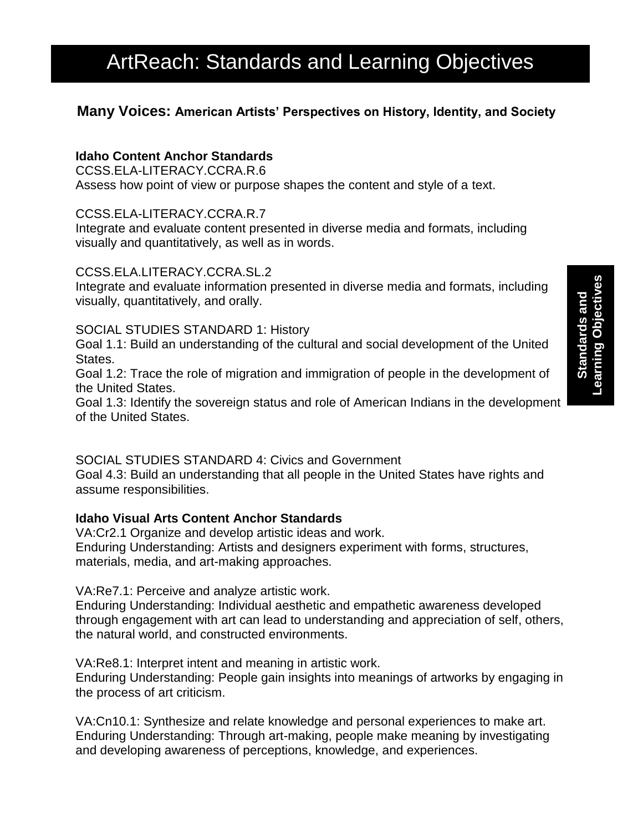# ArtReach: Standards and Learning Objectives

## **Many Voices: American Artists' Perspectives on History, Identity, and Society**

### **Idaho Content Anchor Standards**

CCSS.ELA-LITERACY.CCRA.R.6 Assess how point of view or purpose shapes the content and style of a text.

#### CCSS.ELA-LITERACY.CCRA.R.7

Integrate and evaluate content presented in diverse media and formats, including visually and quantitatively, as well as in words.

#### CCSS.ELA.LITERACY.CCRA.SL.2

Integrate and evaluate information presented in diverse media and formats, including visually, quantitatively, and orally.

#### SOCIAL STUDIES STANDARD 1: History

Goal 1.1: Build an understanding of the cultural and social development of the United States.

Goal 1.2: Trace the role of migration and immigration of people in the development of the United States.

Goal 1.3: Identify the sovereign status and role of American Indians in the development of the United States.

#### SOCIAL STUDIES STANDARD 4: Civics and Government

Goal 4.3: Build an understanding that all people in the United States have rights and assume responsibilities.

#### **Idaho Visual Arts Content Anchor Standards**

VA:Cr2.1 Organize and develop artistic ideas and work. Enduring Understanding: Artists and designers experiment with forms, structures, materials, media, and art-making approaches.

VA:Re7.1: Perceive and analyze artistic work.

Enduring Understanding: Individual aesthetic and empathetic awareness developed through engagement with art can lead to understanding and appreciation of self, others, the natural world, and constructed environments.

VA:Re8.1: Interpret intent and meaning in artistic work.

Enduring Understanding: People gain insights into meanings of artworks by engaging in the process of art criticism.

VA:Cn10.1: Synthesize and relate knowledge and personal experiences to make art. Enduring Understanding: Through art-making, people make meaning by investigating and developing awareness of perceptions, knowledge, and experiences.